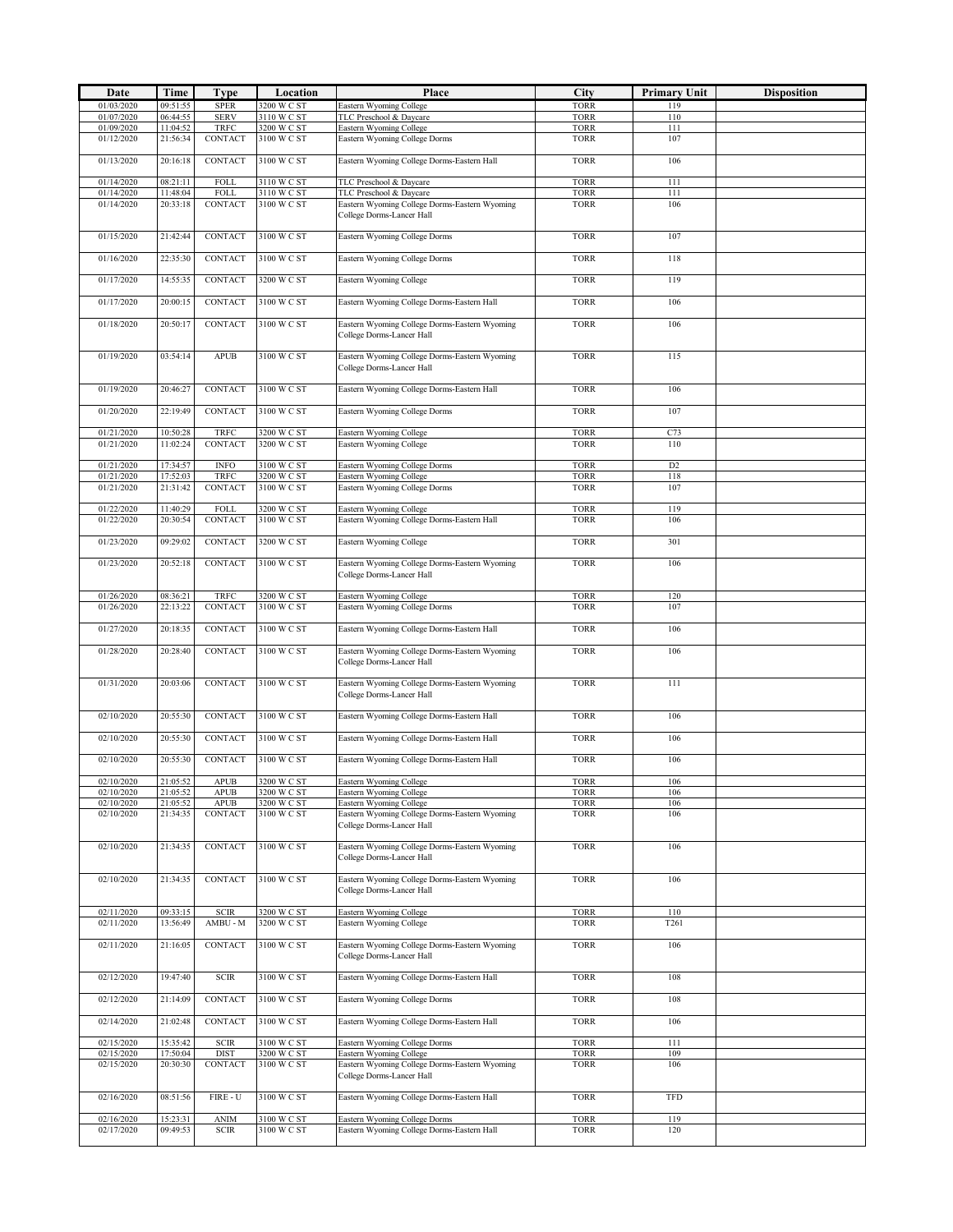| Date                     | Time                 | <b>Type</b>                   | Location                   | Place                                                                      | City                       | <b>Primary Unit</b>   | <b>Disposition</b> |
|--------------------------|----------------------|-------------------------------|----------------------------|----------------------------------------------------------------------------|----------------------------|-----------------------|--------------------|
| 01/03/2020               | 09:51:55             | <b>SPER</b>                   | 3200 W C ST                | Eastern Wyoming College                                                    | <b>TORR</b>                | 119                   |                    |
| 01/07/2020<br>01/09/2020 | 06:44:55<br>11:04:52 | <b>SERV</b><br><b>TRFC</b>    | 3110 W C ST<br>3200 W C ST | TLC Preschool & Daycare<br>Eastern Wyoming College                         | <b>TORR</b><br><b>TORR</b> | 110<br>111            |                    |
| 01/12/2020               | 21:56:34             | CONTACT                       | 3100 W C ST                | Eastern Wyoming College Dorms                                              | <b>TORR</b>                | 107                   |                    |
| 01/13/2020               | 20:16:18             | <b>CONTACT</b>                | 3100 W C ST                | Eastern Wyoming College Dorms-Eastern Hall                                 | <b>TORR</b>                | 106                   |                    |
|                          |                      |                               |                            |                                                                            |                            |                       |                    |
| 01/14/2020               | 08:21:11             | FOLL                          | 3110 W C ST                | TLC Preschool & Daycare                                                    | <b>TORR</b>                | 111                   |                    |
| 01/14/2020<br>01/14/2020 | 11:48:04<br>20:33:18 | <b>FOLL</b><br>CONTACT        | 3110 W C ST<br>3100 W C ST | TLC Preschool & Daycare<br>Eastern Wyoming College Dorms-Eastern Wyoming   | <b>TORR</b><br><b>TORR</b> | 111<br>106            |                    |
|                          |                      |                               |                            | College Dorms-Lancer Hall                                                  |                            |                       |                    |
| 01/15/2020               | 21:42:44             | <b>CONTACT</b>                | 3100 W C ST                | Eastern Wyoming College Dorms                                              | <b>TORR</b>                | 107                   |                    |
|                          |                      |                               |                            |                                                                            |                            |                       |                    |
| 01/16/2020               | 22:35:30             | <b>CONTACT</b>                | 3100 W C ST                | Eastern Wyoming College Dorms                                              | <b>TORR</b>                | 118                   |                    |
| 01/17/2020               | 14:55:35             | <b>CONTACT</b>                | 3200 W C ST                | Eastern Wyoming College                                                    | <b>TORR</b>                | 119                   |                    |
| 01/17/2020               | 20:00:15             | CONTACT                       | 3100 W C ST                | Eastern Wyoming College Dorms-Eastern Hall                                 | <b>TORR</b>                | 106                   |                    |
|                          |                      |                               |                            |                                                                            |                            |                       |                    |
| 01/18/2020               | 20:50:17             | CONTACT                       | 3100 W C ST                | Eastern Wyoming College Dorms-Eastern Wyoming<br>College Dorms-Lancer Hall | <b>TORR</b>                | 106                   |                    |
|                          |                      |                               |                            |                                                                            |                            |                       |                    |
| 01/19/2020               | 03:54:14             | <b>APUB</b>                   | 3100 W C ST                | Eastern Wyoming College Dorms-Eastern Wyoming<br>College Dorms-Lancer Hall | <b>TORR</b>                | 115                   |                    |
|                          |                      |                               |                            |                                                                            |                            |                       |                    |
| 01/19/2020               | 20:46:27             | <b>CONTACT</b>                | 3100 W C ST                | Eastern Wyoming College Dorms-Eastern Hall                                 | <b>TORR</b>                | 106                   |                    |
| 01/20/2020               | 22:19:49             | CONTACT                       | 3100 W C ST                | Eastern Wyoming College Dorms                                              | <b>TORR</b>                | 107                   |                    |
| 01/21/2020               | 10:50:28             | <b>TRFC</b>                   | 3200 W C ST                | Eastern Wyoming College                                                    | <b>TORR</b>                | C73                   |                    |
| 01/21/2020               | 11:02:24             | CONTACT                       | 3200 W C ST                | Eastern Wyoming College                                                    | <b>TORR</b>                | 110                   |                    |
| 01/21/2020               | 17:34:57             | <b>INFO</b>                   | 3100 W C ST                | Eastern Wyoming College Dorms                                              |                            |                       |                    |
| 01/21/2020               | 17:52:03             | TRFC                          | 3200 W C ST                | Eastern Wyoming College                                                    | <b>TORR</b><br><b>TORR</b> | D <sub>2</sub><br>118 |                    |
| 01/21/2020               | 21:31:42             | CONTACT                       | 3100 W C ST                | Eastern Wyoming College Dorms                                              | <b>TORR</b>                | 107                   |                    |
| 01/22/2020               | 11:40:29             | FOLL                          | 3200 W C ST                | Eastern Wyoming College                                                    | <b>TORR</b>                | 119                   |                    |
| 01/22/2020               | 20:30:54             | CONTACT                       | 3100 W C ST                | Eastern Wyoming College Dorms-Eastern Hall                                 | <b>TORR</b>                | 106                   |                    |
| 01/23/2020               | 09:29:02             | CONTACT                       | 3200 W C ST                | Eastern Wyoming College                                                    | <b>TORR</b>                | 301                   |                    |
|                          |                      |                               |                            |                                                                            |                            |                       |                    |
| 01/23/2020               | 20:52:18             | CONTACT                       | 3100 W C ST                | Eastern Wyoming College Dorms-Eastern Wyoming<br>College Dorms-Lancer Hall | <b>TORR</b>                | 106                   |                    |
|                          |                      |                               |                            |                                                                            |                            |                       |                    |
| 01/26/2020               | 08:36:21             | TRFC                          | 3200 W C ST<br>3100 W C ST | Eastern Wyoming College                                                    | <b>TORR</b>                | 120                   |                    |
| 01/26/2020               | 22:13:22             | CONTACT                       |                            | Eastern Wyoming College Dorms                                              | <b>TORR</b>                | 107                   |                    |
| 01/27/2020               | 20:18:35             | CONTACT                       | 3100 W C ST                | Eastern Wyoming College Dorms-Eastern Hall                                 | <b>TORR</b>                | 106                   |                    |
| 01/28/2020               | 20:28:40             | <b>CONTACT</b>                | 3100 W C ST                | Eastern Wyoming College Dorms-Eastern Wyoming                              | <b>TORR</b>                | 106                   |                    |
|                          |                      |                               |                            | College Dorms-Lancer Hall                                                  |                            |                       |                    |
| 01/31/2020               | 20:03:06             | <b>CONTACT</b>                | 3100 W C ST                | Eastern Wyoming College Dorms-Eastern Wyoming                              | <b>TORR</b>                | 111                   |                    |
|                          |                      |                               |                            | College Dorms-Lancer Hall                                                  |                            |                       |                    |
| 02/10/2020               | 20:55:30             | <b>CONTACT</b>                | 3100 W C ST                | Eastern Wyoming College Dorms-Eastern Hall                                 | <b>TORR</b>                | 106                   |                    |
|                          |                      |                               |                            |                                                                            |                            |                       |                    |
| 02/10/2020               | 20:55:30             | <b>CONTACT</b>                | 3100 W C ST                | Eastern Wyoming College Dorms-Eastern Hall                                 | <b>TORR</b>                | 106                   |                    |
| 02/10/2020               | 20:55:30             | CONTACT                       | 3100 W C ST                | Eastern Wyoming College Dorms-Eastern Hall                                 | <b>TORR</b>                | 106                   |                    |
| 02/10/2020               | 21:05:52             | APUB                          | 3200 W C ST                | Eastern Wyoming College                                                    | TORR                       | 106                   |                    |
| 02/10/2020               | 21:05:52             | <b>APUB</b>                   | 3200 W C ST                | Eastern Wyoming College                                                    | <b>TORR</b>                | 106                   |                    |
| 02/10/2020<br>02/10/2020 | 21:05:52<br>21:34:35 | <b>APUB</b><br><b>CONTACT</b> | 3200 W C ST<br>3100 W C ST | Eastern Wyoming College<br>Eastern Wyoming College Dorms-Eastern Wyoming   | <b>TORR</b><br><b>TORR</b> | 106<br>106            |                    |
|                          |                      |                               |                            | College Dorms-Lancer Hall                                                  |                            |                       |                    |
| 02/10/2020               | 21:34:35             | CONTACT                       | 3100 W C ST                | Eastern Wyoming College Dorms-Eastern Wyoming                              | <b>TORR</b>                | 106                   |                    |
|                          |                      |                               |                            | College Dorms-Lancer Hall                                                  |                            |                       |                    |
| 02/10/2020               | 21:34:35             | CONTACT                       | 3100 W C ST                | Eastern Wyoming College Dorms-Eastern Wyoming                              | <b>TORR</b>                | 106                   |                    |
|                          |                      |                               |                            | College Dorms-Lancer Hall                                                  |                            |                       |                    |
| 02/11/2020               | 09:33:15             | <b>SCIR</b>                   | 3200 W C ST                | Eastern Wyoming College                                                    | <b>TORR</b>                | 110                   |                    |
| 02/11/2020               | 13:56:49             | AMBU - M                      | 3200 W C ST                | Eastern Wyoming College                                                    | <b>TORR</b>                | T261                  |                    |
| 02/11/2020               | 21:16:05             | CONTACT                       | 3100 W C ST                | Eastern Wyoming College Dorms-Eastern Wyoming                              | <b>TORR</b>                | 106                   |                    |
|                          |                      |                               |                            | College Dorms-Lancer Hall                                                  |                            |                       |                    |
| 02/12/2020               | 19:47:40             | <b>SCIR</b>                   | 3100 W C ST                | Eastern Wyoming College Dorms-Eastern Hall                                 | <b>TORR</b>                | 108                   |                    |
|                          |                      |                               |                            |                                                                            |                            |                       |                    |
| 02/12/2020               | 21:14:09             | CONTACT                       | 3100 W C ST                | Eastern Wyoming College Dorms                                              | <b>TORR</b>                | 108                   |                    |
| 02/14/2020               | 21:02:48             | CONTACT                       | 3100 W C ST                | Eastern Wyoming College Dorms-Eastern Hall                                 | <b>TORR</b>                | 106                   |                    |
| 02/15/2020               | 15:35:42             | <b>SCIR</b>                   | 3100 W C ST                | Eastern Wyoming College Dorms                                              | <b>TORR</b>                | 111                   |                    |
| 02/15/2020               | 17:50:04             | <b>DIST</b>                   | 3200 W C ST                | Eastern Wyoming College                                                    | <b>TORR</b>                | 109                   |                    |
| 02/15/2020               | 20:30:30             | CONTACT                       | 3100 W C ST                | Eastern Wyoming College Dorms-Eastern Wyoming<br>College Dorms-Lancer Hall | <b>TORR</b>                | 106                   |                    |
|                          |                      |                               |                            |                                                                            |                            |                       |                    |
| 02/16/2020               | 08:51:56             | $FIRE - U$                    | 3100 W C ST                | Eastern Wyoming College Dorms-Eastern Hall                                 | <b>TORR</b>                | TFD                   |                    |
| 02/16/2020               | 15:23:31             | $\mathbf{ANIM}$               | 3100 W C ST                | Eastern Wyoming College Dorms                                              | <b>TORR</b>                | 119                   |                    |
| 02/17/2020               | 09:49:53             | <b>SCIR</b>                   | 3100 W C ST                | Eastern Wyoming College Dorms-Eastern Hall                                 | <b>TORR</b>                | 120                   |                    |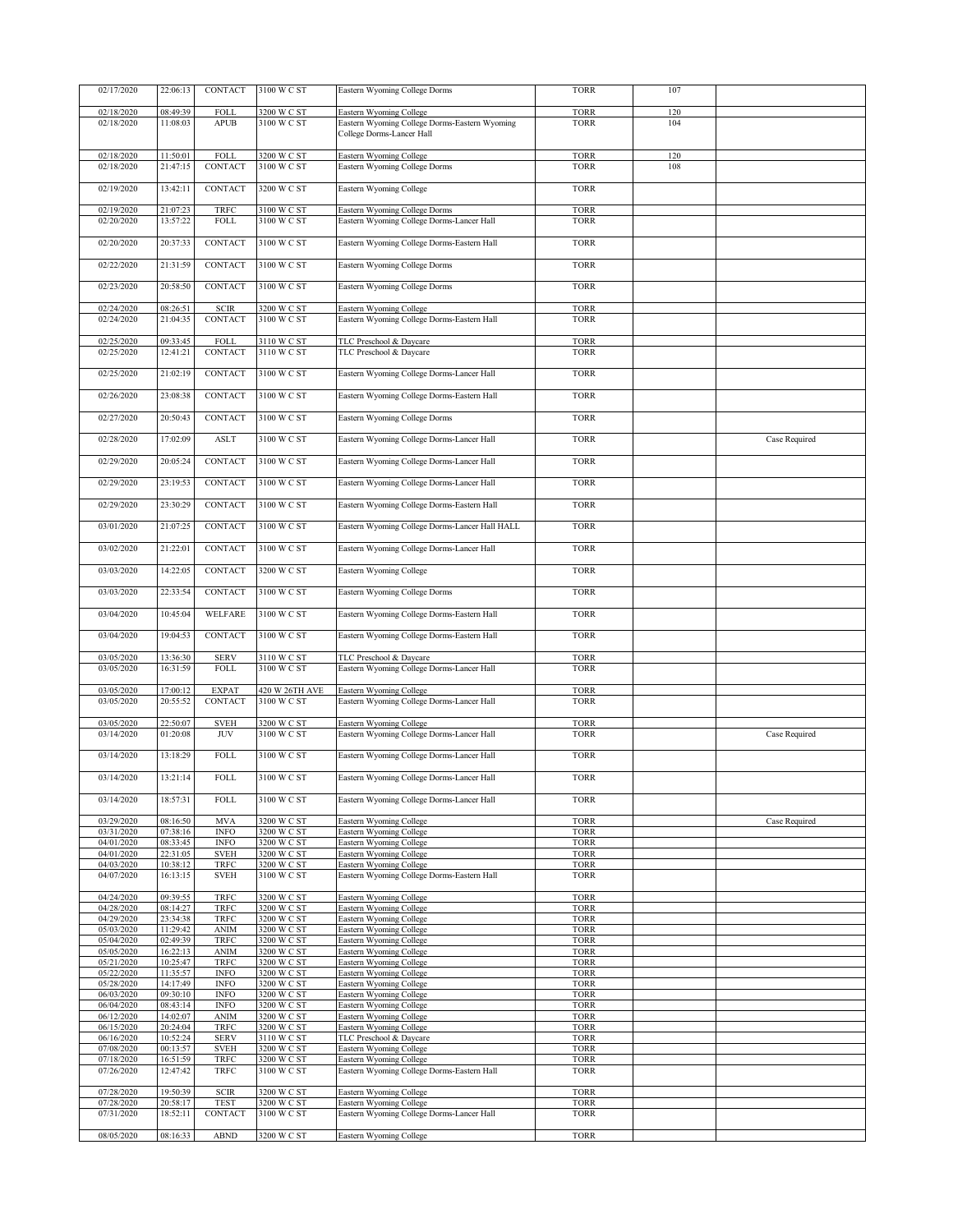| 02/17/2020               | 22:06:13             | CONTACT                    | 3100 W C ST                | Eastern Wyoming College Dorms                                        | <b>TORR</b>                | 107 |               |
|--------------------------|----------------------|----------------------------|----------------------------|----------------------------------------------------------------------|----------------------------|-----|---------------|
| 02/18/2020               | 08:49:39             | FOLL                       | 3200 W C ST                | Eastern Wyoming College                                              | <b>TORR</b>                | 120 |               |
| 02/18/2020               | 11:08:03             | <b>APUB</b>                | 3100 W C ST                | Eastern Wyoming College Dorms-Eastern Wyoming                        | <b>TORR</b>                | 104 |               |
|                          |                      |                            |                            | College Dorms-Lancer Hall                                            |                            |     |               |
| 02/18/2020               | 11:50:01             | FOLL                       | 3200 W C ST                | Eastern Wyoming College                                              | <b>TORR</b>                | 120 |               |
| 02/18/2020               | 21:47:15             | CONTACT                    | 3100 W C ST                | Eastern Wyoming College Dorms                                        | <b>TORR</b>                | 108 |               |
|                          |                      |                            |                            |                                                                      |                            |     |               |
| 02/19/2020               | 13:42:11             | CONTACT                    | 3200 W C ST                | Eastern Wyoming College                                              | <b>TORR</b>                |     |               |
| 02/19/2020               | 21:07:23             | TRFC                       | 3100 W C ST                | Eastern Wyoming College Dorms                                        | <b>TORR</b>                |     |               |
| 02/20/2020               | 13:57:22             | <b>FOLL</b>                | 3100 W C ST                | Eastern Wyoming College Dorms-Lancer Hall                            | <b>TORR</b>                |     |               |
| 02/20/2020               | 20:37:33             | CONTACT                    | 3100 W C ST                | Eastern Wyoming College Dorms-Eastern Hall                           | <b>TORR</b>                |     |               |
|                          |                      |                            |                            |                                                                      |                            |     |               |
| 02/22/2020               | 21:31:59             | CONTACT                    | 3100 W C ST                | Eastern Wyoming College Dorms                                        | <b>TORR</b>                |     |               |
| 02/23/2020               | 20:58:50             | CONTACT                    | 3100 W C ST                | Eastern Wyoming College Dorms                                        | <b>TORR</b>                |     |               |
|                          |                      |                            |                            |                                                                      |                            |     |               |
| 02/24/2020               | 08:26:51             | <b>SCIR</b>                | 3200 W C ST                | Eastern Wyoming College                                              | <b>TORR</b>                |     |               |
| 02/24/2020               | 21:04:35             | CONTACT                    | 3100 W C ST                | Eastern Wyoming College Dorms-Eastern Hall                           | <b>TORR</b>                |     |               |
| 02/25/2020               | 09:33:45             | FOLL                       | 3110 W C ST                | TLC Preschool & Daycare                                              | <b>TORR</b>                |     |               |
| 02/25/2020               | 12:41:21             | CONTACT                    | 3110 W C ST                | TLC Preschool & Daycare                                              | <b>TORR</b>                |     |               |
| 02/25/2020               | 21:02:19             | <b>CONTACT</b>             | 3100 W C ST                | Eastern Wyoming College Dorms-Lancer Hall                            | <b>TORR</b>                |     |               |
|                          |                      |                            |                            |                                                                      |                            |     |               |
| 02/26/2020               | 23:08:38             | <b>CONTACT</b>             | 3100 W C ST                | Eastern Wyoming College Dorms-Eastern Hall                           | <b>TORR</b>                |     |               |
| 02/27/2020               | 20:50:43             | CONTACT                    | 3100 W C ST                | Eastern Wyoming College Dorms                                        | <b>TORR</b>                |     |               |
|                          |                      |                            |                            |                                                                      |                            |     |               |
| 02/28/2020               | 17:02:09             | <b>ASLT</b>                | 3100 W C ST                | Eastern Wyoming College Dorms-Lancer Hall                            | <b>TORR</b>                |     | Case Required |
| 02/29/2020               | 20:05:24             | CONTACT                    | 3100 W C ST                | Eastern Wyoming College Dorms-Lancer Hall                            | <b>TORR</b>                |     |               |
|                          |                      |                            |                            |                                                                      |                            |     |               |
| 02/29/2020               | 23:19:53             | CONTACT                    | 3100 W C ST                | Eastern Wyoming College Dorms-Lancer Hall                            | <b>TORR</b>                |     |               |
| 02/29/2020               | 23:30:29             | CONTACT                    | 3100 W C ST                | Eastern Wyoming College Dorms-Eastern Hall                           | <b>TORR</b>                |     |               |
|                          |                      |                            |                            |                                                                      |                            |     |               |
| 03/01/2020               | 21:07:25             | CONTACT                    | 3100 W C ST                | Eastern Wyoming College Dorms-Lancer Hall HALL                       | <b>TORR</b>                |     |               |
| 03/02/2020               | 21:22:01             | CONTACT                    | 3100 W C ST                | Eastern Wyoming College Dorms-Lancer Hall                            | <b>TORR</b>                |     |               |
|                          |                      |                            |                            |                                                                      |                            |     |               |
| 03/03/2020               | 14:22:05             | CONTACT                    | 3200 W C ST                | Eastern Wyoming College                                              | <b>TORR</b>                |     |               |
| 03/03/2020               | 22:33:54             | CONTACT                    | 3100 W C ST                | Eastern Wyoming College Dorms                                        | <b>TORR</b>                |     |               |
|                          |                      |                            |                            |                                                                      |                            |     |               |
| 03/04/2020               | 10:45:04             | WELFARE                    | 3100 W C ST                | Eastern Wyoming College Dorms-Eastern Hall                           | <b>TORR</b>                |     |               |
| 03/04/2020               | 19:04:53             | CONTACT                    | 3100 W C ST                | Eastern Wyoming College Dorms-Eastern Hall                           | <b>TORR</b>                |     |               |
|                          |                      |                            |                            |                                                                      |                            |     |               |
| 03/05/2020<br>03/05/2020 | 13:36:30<br>16:31:59 | <b>SERV</b><br><b>FOLL</b> | 3110 W C ST<br>3100 W C ST | TLC Preschool & Daycare<br>Eastern Wyoming College Dorms-Lancer Hall | <b>TORR</b><br><b>TORR</b> |     |               |
|                          |                      |                            |                            |                                                                      |                            |     |               |
| 03/05/2020               | 17:00:12             | <b>EXPAT</b>               | 420 W 26TH AVE             | Eastern Wyoming College                                              | <b>TORR</b>                |     |               |
| 03/05/2020               | 20:55:52             | CONTACT                    | 3100 W C ST                | Eastern Wyoming College Dorms-Lancer Hall                            | <b>TORR</b>                |     |               |
| 03/05/2020               | 22:50:07             | <b>SVEH</b>                | 3200 W C ST                | Eastern Wyoming College                                              | <b>TORR</b>                |     |               |
| 03/14/2020               | 01:20:08             | <b>JUV</b>                 | 3100 W C ST                | Eastern Wyoming College Dorms-Lancer Hall                            | <b>TORR</b>                |     | Case Required |
| 03/14/2020               | 13:18:29             | FOLL                       | 3100 W C ST                | Eastern Wyoming College Dorms-Lancer Hall                            | <b>TORR</b>                |     |               |
|                          |                      |                            |                            |                                                                      |                            |     |               |
| 03/14/2020               | 13:21:14             | <b>FOLL</b>                | 3100 W C ST                | Eastern Wyoming College Dorms-Lancer Hall                            | <b>TORR</b>                |     |               |
| 03/14/2020               | 18:57:31             | <b>FOLL</b>                | 3100 W C ST                | Eastern Wyoming College Dorms-Lancer Hall                            | <b>TORR</b>                |     |               |
|                          |                      |                            |                            |                                                                      |                            |     |               |
| 03/29/2020               | 08:16:50             | <b>MVA</b>                 | 3200 W C ST                | Eastern Wyoming College                                              | <b>TORR</b>                |     | Case Required |
| 03/31/2020<br>04/01/2020 | 07:38:16             | <b>INFO</b>                | 3200 W C ST                | Eastern Wyoming College                                              | <b>TORR</b>                |     |               |
| 04/01/2020               | 08:33:45<br>22:31:05 | <b>INFO</b><br><b>SVEH</b> | 3200 W C ST<br>3200 W C ST | Eastern Wyoming College<br>Eastern Wyoming College                   | <b>TORR</b><br><b>TORR</b> |     |               |
| 04/03/2020               | 10:38:12             | TRFC                       | 3200 W C ST                | Eastern Wyoming College                                              | <b>TORR</b>                |     |               |
| 04/07/2020               | 16:13:15             | <b>SVEH</b>                | 3100 W C ST                | Eastern Wyoming College Dorms-Eastern Hall                           | <b>TORR</b>                |     |               |
|                          |                      |                            |                            |                                                                      |                            |     |               |
| 04/24/2020               | 09:39:55             | <b>TRFC</b>                | 3200 W C ST                | Eastern Wyoming College                                              | <b>TORR</b>                |     |               |
| 04/28/2020               | 08:14:27             | <b>TRFC</b>                | 3200 W C ST                | Eastern Wyoming College                                              | <b>TORR</b>                |     |               |
| 04/29/2020               | 23:34:38             | TRFC                       | 3200 W C ST                | Eastern Wyoming College                                              | <b>TORR</b>                |     |               |
| 05/03/2020               | 11:29:42             | <b>ANIM</b>                | 3200 W C ST                | Eastern Wyoming College                                              | <b>TORR</b>                |     |               |
| 05/04/2020               | 02:49:39             | <b>TRFC</b>                | 3200 W C ST                | Eastern Wyoming College                                              | <b>TORR</b>                |     |               |
| 05/05/2020               | 16:22:13             | <b>ANIM</b>                | 3200 W C ST                | Eastern Wyoming College                                              | <b>TORR</b>                |     |               |
| 05/21/2020               | 10:25:47             | <b>TRFC</b>                | 3200 W C ST                | Eastern Wyoming College                                              | <b>TORR</b>                |     |               |
| 05/22/2020               | 11:35:57             | <b>INFO</b>                | 3200 W C ST                | Eastern Wyoming College                                              | <b>TORR</b>                |     |               |
| 05/28/2020               | 14:17:49             | <b>INFO</b>                | 3200 W C ST                | Eastern Wyoming College                                              | <b>TORR</b>                |     |               |
| 06/03/2020               | 09:30:10             | <b>INFO</b>                | 3200 W C ST                | Eastern Wyoming College                                              | <b>TORR</b>                |     |               |
| 06/04/2020               | 08:43:14             | <b>INFO</b>                | 3200 W C ST                | Eastern Wyoming College                                              | <b>TORR</b>                |     |               |
| 06/12/2020               | 14:02:07             | <b>ANIM</b>                | 3200 W C ST                | Eastern Wyoming College                                              | <b>TORR</b>                |     |               |
| 06/15/2020               | 20:24:04             | <b>TRFC</b>                | 3200 W C ST                | Eastern Wyoming College                                              | <b>TORR</b>                |     |               |
| 06/16/2020               | 10:52:24             | <b>SERV</b>                | 3110 W C ST                | TLC Preschool & Daycare                                              | <b>TORR</b>                |     |               |
| 07/08/2020               | 00:13:57             | <b>SVEH</b>                | 3200 W C ST                | Eastern Wyoming College                                              | <b>TORR</b>                |     |               |
| 07/18/2020               | 16:51:59             | <b>TRFC</b>                | 3200 W C ST                | Eastern Wyoming College                                              | <b>TORR</b>                |     |               |
| 07/26/2020               | 12:47:42             | TRFC                       | 3100 W C ST                | Eastern Wyoming College Dorms-Eastern Hall                           | <b>TORR</b>                |     |               |
| 07/28/2020               | 19:50:39             | <b>SCIR</b>                | 3200 W C ST                | Eastern Wyoming College                                              | <b>TORR</b>                |     |               |
| 07/28/2020               | 20:58:17             | <b>TEST</b>                | 3200 W C ST                | Eastern Wyoming College                                              | <b>TORR</b>                |     |               |
| 07/31/2020               | 18:52:11             | CONTACT                    | 3100 W C ST                | Eastern Wyoming College Dorms-Lancer Hall                            | <b>TORR</b>                |     |               |
|                          |                      |                            |                            |                                                                      |                            |     |               |
| 08/05/2020               | 08:16:33             | <b>ABND</b>                | 3200 W C ST                | Eastern Wyoming College                                              | <b>TORR</b>                |     |               |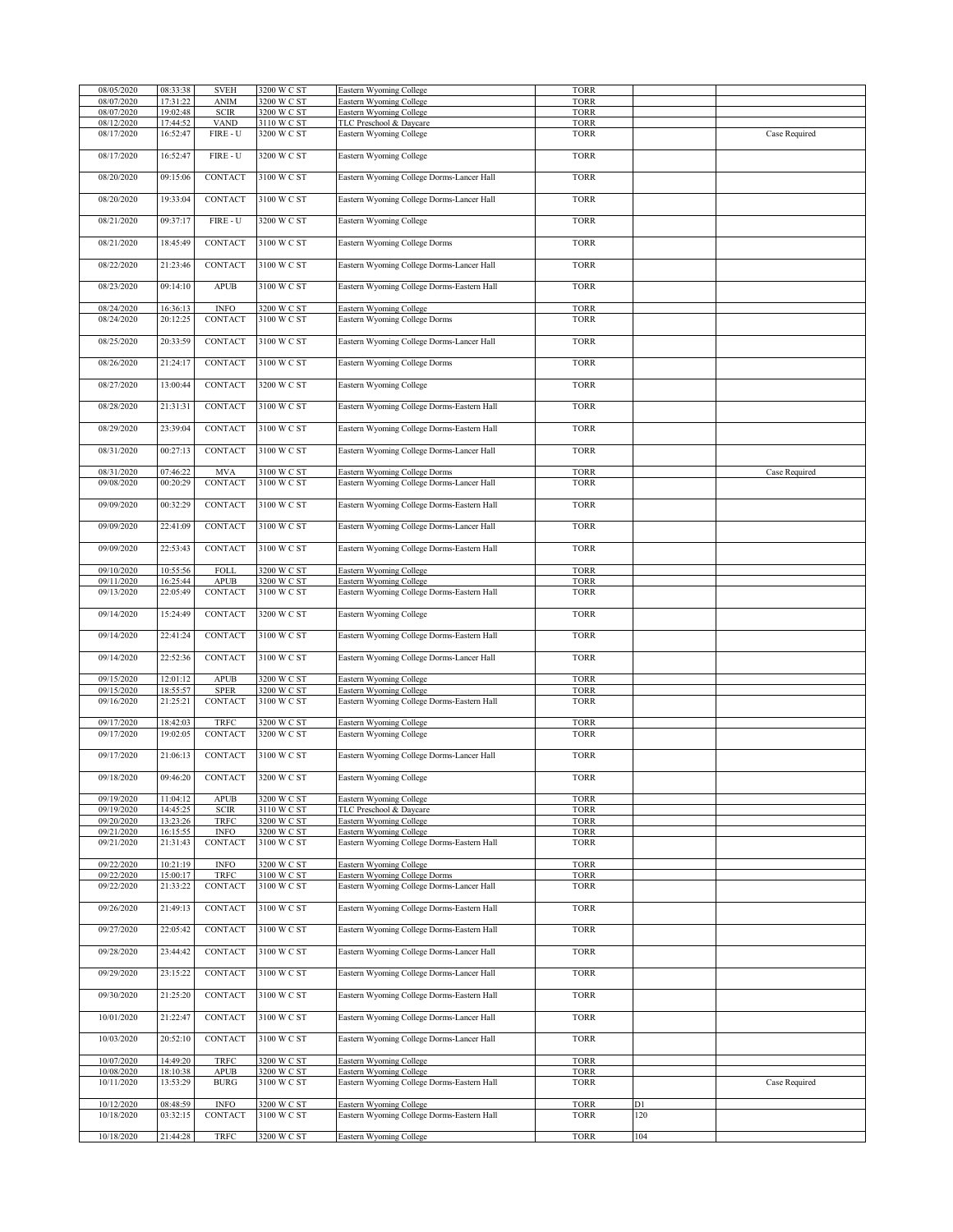| 08/05/2020 | 08:33:38 | <b>SVEH</b>                  | 3200 W C ST | Eastern Wyoming College                    | <b>TORR</b> |     |               |
|------------|----------|------------------------------|-------------|--------------------------------------------|-------------|-----|---------------|
| 08/07/2020 | 17:31:22 | <b>ANIM</b>                  | 3200 W C ST | Eastern Wyoming College                    | <b>TORR</b> |     |               |
| 08/07/2020 | 19:02:48 | <b>SCIR</b>                  | 3200 W C ST | Eastern Wyoming College                    | <b>TORR</b> |     |               |
|            |          |                              |             |                                            |             |     |               |
| 08/12/2020 | 17:44:52 | <b>VAND</b>                  | 3110 W C ST | TLC Preschool & Daycare                    | <b>TORR</b> |     |               |
| 08/17/2020 | 16:52:47 | FIRE - U                     | 3200 W C ST | Eastern Wyoming College                    | <b>TORR</b> |     | Case Required |
|            |          |                              |             |                                            |             |     |               |
| 08/17/2020 | 16:52:47 | $\tt{FIRE-U}$                | 3200 W C ST | Eastern Wyoming College                    | <b>TORR</b> |     |               |
|            |          |                              |             |                                            |             |     |               |
|            |          |                              |             |                                            |             |     |               |
| 08/20/2020 | 09:15:06 | CONTACT                      | 3100 W C ST | Eastern Wyoming College Dorms-Lancer Hall  | <b>TORR</b> |     |               |
|            |          |                              |             |                                            |             |     |               |
|            |          |                              |             |                                            |             |     |               |
| 08/20/2020 | 19:33:04 | CONTACT                      | 3100 W C ST | Eastern Wyoming College Dorms-Lancer Hall  | <b>TORR</b> |     |               |
|            |          |                              |             |                                            |             |     |               |
| 08/21/2020 | 09:37:17 | $\tt{FIRE-U}$                | 3200 W C ST | Eastern Wyoming College                    | <b>TORR</b> |     |               |
|            |          |                              |             |                                            |             |     |               |
|            |          |                              |             |                                            |             |     |               |
| 08/21/2020 | 18:45:49 | CONTACT                      | 3100 W C ST | Eastern Wyoming College Dorms              | <b>TORR</b> |     |               |
|            |          |                              |             |                                            |             |     |               |
| 08/22/2020 | 21:23:46 | <b>CONTACT</b>               | 3100 W C ST | Eastern Wyoming College Dorms-Lancer Hall  | <b>TORR</b> |     |               |
|            |          |                              |             |                                            |             |     |               |
|            |          |                              |             |                                            |             |     |               |
| 08/23/2020 | 09:14:10 | <b>APUB</b>                  | 3100 W C ST | Eastern Wyoming College Dorms-Eastern Hall | <b>TORR</b> |     |               |
|            |          |                              |             |                                            |             |     |               |
| 08/24/2020 | 16:36:13 | <b>INFO</b>                  | 3200 W C ST | Eastern Wyoming College                    | <b>TORR</b> |     |               |
| 08/24/2020 | 20:12:25 | CONTACT                      | 3100 W C ST |                                            | <b>TORR</b> |     |               |
|            |          |                              |             | Eastern Wyoming College Dorms              |             |     |               |
|            |          |                              |             |                                            |             |     |               |
| 08/25/2020 | 20:33:59 | CONTACT                      | 3100 W C ST | Eastern Wyoming College Dorms-Lancer Hall  | <b>TORR</b> |     |               |
|            |          |                              |             |                                            |             |     |               |
|            |          |                              |             |                                            |             |     |               |
| 08/26/2020 | 21:24:17 | CONTACT                      | 3100 W C ST | Eastern Wyoming College Dorms              | <b>TORR</b> |     |               |
|            |          |                              |             |                                            |             |     |               |
| 08/27/2020 | 13:00:44 | CONTACT                      | 3200 W C ST | Eastern Wyoming College                    | <b>TORR</b> |     |               |
|            |          |                              |             |                                            |             |     |               |
|            |          |                              |             |                                            |             |     |               |
| 08/28/2020 | 21:31:31 | CONTACT                      | 3100 W C ST | Eastern Wyoming College Dorms-Eastern Hall | <b>TORR</b> |     |               |
|            |          |                              |             |                                            |             |     |               |
| 08/29/2020 | 23:39:04 | CONTACT                      | 3100 W C ST | Eastern Wyoming College Dorms-Eastern Hall | <b>TORR</b> |     |               |
|            |          |                              |             |                                            |             |     |               |
|            |          |                              |             |                                            |             |     |               |
| 08/31/2020 | 00:27:13 | CONTACT                      | 3100 W C ST | Eastern Wyoming College Dorms-Lancer Hall  | <b>TORR</b> |     |               |
|            |          |                              |             |                                            |             |     |               |
| 08/31/2020 | 07:46:22 | <b>MVA</b>                   | 3100 W C ST | Eastern Wyoming College Dorms              | <b>TORR</b> |     | Case Required |
|            |          |                              |             |                                            |             |     |               |
| 09/08/2020 | 00:20:29 | CONTACT                      | 3100 W C ST | Eastern Wyoming College Dorms-Lancer Hall  | <b>TORR</b> |     |               |
|            |          |                              |             |                                            |             |     |               |
| 09/09/2020 | 00:32:29 | CONTACT                      | 3100 W C ST | Eastern Wyoming College Dorms-Eastern Hall | <b>TORR</b> |     |               |
|            |          |                              |             |                                            |             |     |               |
|            |          |                              |             |                                            |             |     |               |
| 09/09/2020 | 22:41:09 | CONTACT                      | 3100 W C ST | Eastern Wyoming College Dorms-Lancer Hall  | <b>TORR</b> |     |               |
|            |          |                              |             |                                            |             |     |               |
| 09/09/2020 | 22:53:43 | <b>CONTACT</b>               | 3100 W C ST | Eastern Wyoming College Dorms-Eastern Hall | <b>TORR</b> |     |               |
|            |          |                              |             |                                            |             |     |               |
|            |          |                              |             |                                            |             |     |               |
| 09/10/2020 | 10:55:56 | FOLL                         | 3200 W C ST | Eastern Wyoming College                    | <b>TORR</b> |     |               |
| 09/11/2020 | 16:25:44 | APUB                         | 3200 W C ST | Eastern Wyoming College                    | <b>TORR</b> |     |               |
| 09/13/2020 |          | CONTACT                      | 3100 W C ST |                                            | <b>TORR</b> |     |               |
|            | 22:05:49 |                              |             | Eastern Wyoming College Dorms-Eastern Hall |             |     |               |
|            |          |                              |             |                                            |             |     |               |
| 09/14/2020 | 15:24:49 | CONTACT                      | 3200 W C ST | Eastern Wyoming College                    | <b>TORR</b> |     |               |
|            |          |                              |             |                                            |             |     |               |
| 09/14/2020 | 22:41:24 | CONTACT                      | 3100 W C ST |                                            | <b>TORR</b> |     |               |
|            |          |                              |             | Eastern Wyoming College Dorms-Eastern Hall |             |     |               |
|            |          |                              |             |                                            |             |     |               |
| 09/14/2020 | 22:52:36 | CONTACT                      | 3100 W C ST | Eastern Wyoming College Dorms-Lancer Hall  | <b>TORR</b> |     |               |
|            |          |                              |             |                                            |             |     |               |
| 09/15/2020 | 12:01:12 | APUB                         | 3200 W C ST |                                            | <b>TORR</b> |     |               |
|            |          |                              |             | Eastern Wyoming College                    |             |     |               |
| 09/15/2020 | 18:55:57 | <b>SPER</b>                  | 3200 W C ST | Eastern Wyoming College                    | <b>TORR</b> |     |               |
| 09/16/2020 | 21:25:21 | CONTACT                      | 3100 W C ST | Eastern Wyoming College Dorms-Eastern Hall | <b>TORR</b> |     |               |
|            |          |                              |             |                                            |             |     |               |
| 09/17/2020 | 18:42:03 | <b>TRFC</b>                  | 3200 W C ST | Eastern Wyoming College                    | <b>TORR</b> |     |               |
|            |          |                              |             |                                            |             |     |               |
| 09/17/2020 | 19:02:05 | <b>CONTACT</b>               | 3200 W C ST | Eastern Wyoming College                    | <b>TORR</b> |     |               |
|            |          |                              |             |                                            |             |     |               |
| 09/17/2020 | 21:06:13 | <b>CONTACT</b>               | 3100 W C ST | Eastern Wyoming College Dorms-Lancer Hall  | <b>TORR</b> |     |               |
|            |          |                              |             |                                            |             |     |               |
|            |          |                              |             |                                            |             |     |               |
| 09/18/2020 | 09:46:20 | CONTACT                      | 3200 W C ST | Eastern Wyoming College                    | <b>TORR</b> |     |               |
|            |          |                              |             |                                            |             |     |               |
| 09/19/2020 | 11:04:12 | <b>APUB</b>                  | 3200 W C ST | Eastern Wyoming College                    | <b>TORR</b> |     |               |
|            |          |                              |             |                                            |             |     |               |
| 09/19/2020 | 14:45:25 | <b>SCIR</b>                  | 3110 W C ST | TLC Preschool & Daycare                    | <b>TORR</b> |     |               |
| 09/20/2020 | 13:23:26 | TRFC                         | 3200 W C ST | Eastern Wyoming College                    | <b>TORR</b> |     |               |
| 09/21/2020 | 16:15:55 | <b>INFO</b>                  | 3200 W C ST | Eastern Wyoming College                    | <b>TORR</b> |     |               |
| 09/21/2020 | 21:31:43 | CONTACT                      | 3100 W C ST | Eastern Wyoming College Dorms-Eastern Hall | <b>TORR</b> |     |               |
|            |          |                              |             |                                            |             |     |               |
|            |          |                              |             |                                            |             |     |               |
| 09/22/2020 | 10:21:19 | <b>INFO</b>                  | 3200 W C ST | Eastern Wyoming College                    | <b>TORR</b> |     |               |
| 09/22/2020 | 15:00:17 | TRFC                         | 3100 W C ST | Eastern Wyoming College Dorms              | <b>TORR</b> |     |               |
| 09/22/2020 | 21:33:22 | CONTACT                      | 3100 W C ST | Eastern Wyoming College Dorms-Lancer Hall  | <b>TORR</b> |     |               |
|            |          |                              |             |                                            |             |     |               |
|            |          |                              |             |                                            |             |     |               |
| 09/26/2020 | 21:49:13 | CONTACT                      | 3100 W C ST | Eastern Wyoming College Dorms-Eastern Hall | <b>TORR</b> |     |               |
|            |          |                              |             |                                            |             |     |               |
| 09/27/2020 | 22:05:42 | CONTACT                      | 3100 W C ST | Eastern Wyoming College Dorms-Eastern Hall | <b>TORR</b> |     |               |
|            |          |                              |             |                                            |             |     |               |
|            |          |                              |             |                                            |             |     |               |
| 09/28/2020 | 23:44:42 | CONTACT                      | 3100 W C ST | Eastern Wyoming College Dorms-Lancer Hall  | <b>TORR</b> |     |               |
|            |          |                              |             |                                            |             |     |               |
| 09/29/2020 | 23:15:22 | CONTACT                      | 3100 W C ST | Eastern Wyoming College Dorms-Lancer Hall  | <b>TORR</b> |     |               |
|            |          |                              |             |                                            |             |     |               |
|            |          |                              |             |                                            |             |     |               |
| 09/30/2020 | 21:25:20 | CONTACT                      | 3100 W C ST | Eastern Wyoming College Dorms-Eastern Hall | <b>TORR</b> |     |               |
|            |          |                              |             |                                            |             |     |               |
|            |          |                              |             |                                            |             |     |               |
| 10/01/2020 | 21:22:47 | CONTACT                      | 3100 W C ST | Eastern Wyoming College Dorms-Lancer Hall  | <b>TORR</b> |     |               |
|            |          |                              |             |                                            |             |     |               |
| 10/03/2020 | 20:52:10 | CONTACT                      | 3100 W C ST | Eastern Wyoming College Dorms-Lancer Hall  | <b>TORR</b> |     |               |
|            |          |                              |             |                                            |             |     |               |
|            |          |                              |             |                                            |             |     |               |
| 10/07/2020 | 14:49:20 | <b>TRFC</b>                  | 3200 W C ST | Eastern Wyoming College                    | <b>TORR</b> |     |               |
| 10/08/2020 | 18:10:38 | <b>APUB</b>                  | 3200 W C ST | Eastern Wyoming College                    | <b>TORR</b> |     |               |
| 10/11/2020 | 13:53:29 | <b>BURG</b>                  | 3100 W C ST | Eastern Wyoming College Dorms-Eastern Hall | <b>TORR</b> |     | Case Required |
|            |          |                              |             |                                            |             |     |               |
|            |          |                              |             |                                            |             |     |               |
| 10/12/2020 | 08:48:59 | $\ensuremath{\mathsf{INFO}}$ | 3200 W C ST | Eastern Wyoming College                    | <b>TORR</b> | D1  |               |
| 10/18/2020 | 03:32:15 | CONTACT                      | 3100 W C ST | Eastern Wyoming College Dorms-Eastern Hall | <b>TORR</b> | 120 |               |
|            |          |                              |             |                                            |             |     |               |
|            |          |                              |             |                                            |             |     |               |
|            |          |                              | 3200 W C ST | Eastern Wyoming College                    | <b>TORR</b> | 104 |               |
| 10/18/2020 | 21:44:28 | TRFC                         |             |                                            |             |     |               |